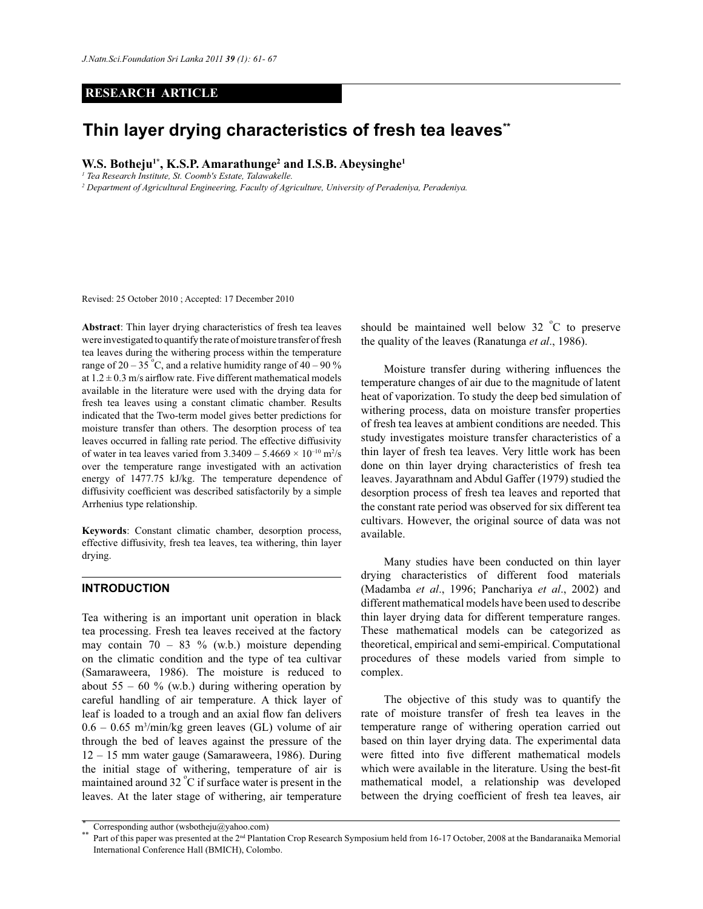### **RESEARCH ARTICLE**

# **Thin layer drying characteristics of fresh tea leaves\*\***

**W.S. Botheju1\*, K.S.P. Amarathunge<sup>2</sup> and I.S.B. Abeysinghe<sup>1</sup>**

*1 Tea Research Institute, St. Coomb's Estate, Talawakelle.*

*2 Department of Agricultural Engineering, Faculty of Agriculture, University of Peradeniya, Peradeniya.*

Revised: 25 October 2010 ; Accepted: 17 December 2010

**Abstract**: Thin layer drying characteristics of fresh tea leaves were investigated to quantify the rate of moisture transfer of fresh tea leaves during the withering process within the temperature range of 20 – 35°C, and a relative humidity range of 40 – 90 % at  $1.2 \pm 0.3$  m/s airflow rate. Five different mathematical models available in the literature were used with the drying data for fresh tea leaves using a constant climatic chamber. Results indicated that the Two-term model gives better predictions for moisture transfer than others. The desorption process of tea leaves occurred in falling rate period. The effective diffusivity of water in tea leaves varied from  $3.3409 - 5.4669 \times 10^{-10}$  m<sup>2</sup>/s over the temperature range investigated with an activation energy of 1477.75 kJ/kg. The temperature dependence of diffusivity coefficient was described satisfactorily by a simple Arrhenius type relationship.

**Keywords**: Constant climatic chamber, desorption process, effective diffusivity, fresh tea leaves, tea withering, thin layer drying.

## **INTRODUCTION**

Tea withering is an important unit operation in black tea processing. Fresh tea leaves received at the factory may contain  $70 - 83$  % (w.b.) moisture depending on the climatic condition and the type of tea cultivar (Samaraweera, 1986). The moisture is reduced to about 55 – 60 % (w.b.) during withering operation by careful handling of air temperature. A thick layer of leaf is loaded to a trough and an axial flow fan delivers  $0.6 - 0.65$  m<sup>3</sup>/min/kg green leaves (GL) volume of air through the bed of leaves against the pressure of the 12 – 15 mm water gauge (Samaraweera, 1986). During the initial stage of withering, temperature of air is maintained around 32 °C if surface water is present in the leaves. At the later stage of withering, air temperature

should be maintained well below  $32 \degree C$  to preserve the quality of the leaves (Ranatunga *et al*., 1986).

 Moisture transfer during withering influences the temperature changes of air due to the magnitude of latent heat of vaporization. To study the deep bed simulation of withering process, data on moisture transfer properties of fresh tea leaves at ambient conditions are needed. This study investigates moisture transfer characteristics of a thin layer of fresh tea leaves. Very little work has been done on thin layer drying characteristics of fresh tea leaves. Jayarathnam and Abdul Gaffer (1979) studied the desorption process of fresh tea leaves and reported that the constant rate period was observed for six different tea cultivars. However, the original source of data was not available.

 Many studies have been conducted on thin layer drying characteristics of different food materials (Madamba *et al*., 1996; Panchariya *et al*., 2002) and different mathematical models have been used to describe thin layer drying data for different temperature ranges. These mathematical models can be categorized as theoretical, empirical and semi-empirical. Computational procedures of these models varied from simple to complex.

 The objective of this study was to quantify the rate of moisture transfer of fresh tea leaves in the temperature range of withering operation carried out based on thin layer drying data. The experimental data were fitted into five different mathematical models which were available in the literature. Using the best-fit mathematical model, a relationship was developed between the drying coefficient of fresh tea leaves, air

Corresponding author (wsbotheju@yahoo.com)

Part of this paper was presented at the 2<sup>nd</sup> Plantation Crop Research Symposium held from 16-17 October, 2008 at the Bandaranaika Memorial International Conference Hall (BMICH), Colombo.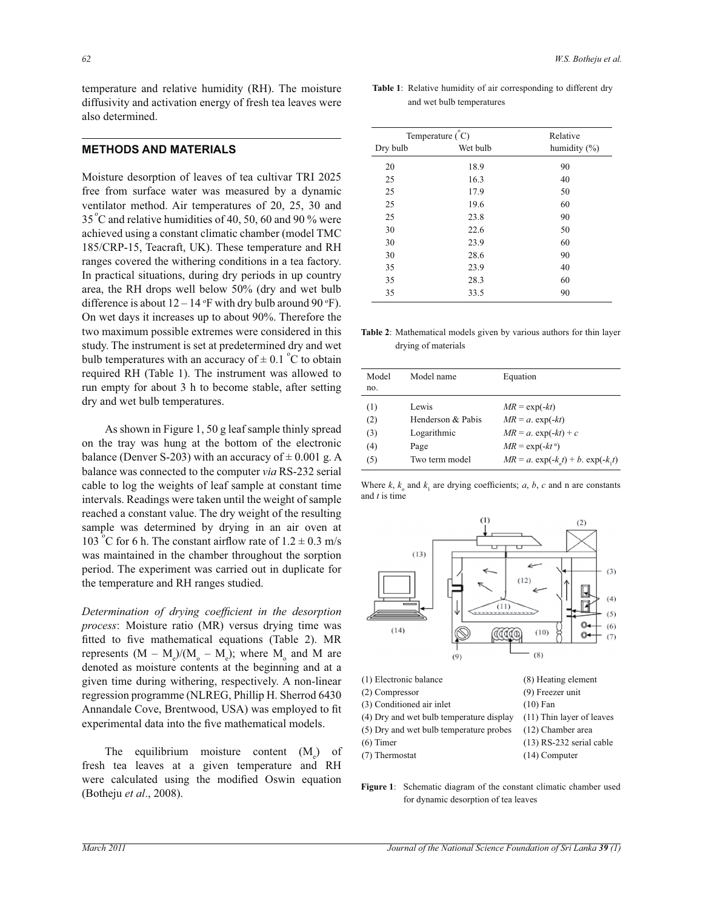temperature and relative humidity (RH). The moisture diffusivity and activation energy of fresh tea leaves were also determined.

## **METHODS AND MATERIALS**

Moisture desorption of leaves of tea cultivar TRI 2025 free from surface water was measured by a dynamic ventilator method. Air temperatures of 20, 25, 30 and  $35^{\circ}$ C and relative humidities of 40, 50, 60 and 90 % were achieved using a constant climatic chamber (model TMC 185/CRP-15, Teacraft, UK). These temperature and RH ranges covered the withering conditions in a tea factory. In practical situations, during dry periods in up country area, the RH drops well below 50% (dry and wet bulb difference is about  $12 - 14$  °F with dry bulb around 90 °F). On wet days it increases up to about 90%. Therefore the two maximum possible extremes were considered in this study. The instrument is set at predetermined dry and wet bulb temperatures with an accuracy of  $\pm$  0.1 °C to obtain required RH (Table 1). The instrument was allowed to run empty for about 3 h to become stable, after setting dry and wet bulb temperatures.

 As shown in Figure 1, 50 g leaf sample thinly spread on the tray was hung at the bottom of the electronic balance (Denver S-203) with an accuracy of  $\pm$  0.001 g. A balance was connected to the computer *via* RS-232 serial cable to log the weights of leaf sample at constant time intervals. Readings were taken until the weight of sample reached a constant value. The dry weight of the resulting sample was determined by drying in an air oven at 103<sup>°</sup>C for 6 h. The constant airflow rate of  $1.2 \pm 0.3$  m/s was maintained in the chamber throughout the sorption period. The experiment was carried out in duplicate for the temperature and RH ranges studied.

*Determination of drying coefficient in the desorption process*: Moisture ratio (MR) versus drying time was fitted to five mathematical equations (Table 2). MR represents  $(M - M_e)/(M_o - M_e)$ ; where M<sub>o</sub> and M are denoted as moisture contents at the beginning and at a given time during withering, respectively. A non-linear regression programme (NLREG, Phillip H. Sherrod 6430 Annandale Cove, Brentwood, USA) was employed to fit experimental data into the five mathematical models.

The equilibrium moisture content  $(M<sub>z</sub>)$ ) of fresh tea leaves at a given temperature and RH were calculated using the modified Oswin equation (Botheju *et al*., 2008).

**Table 1**: Relative humidity of air corresponding to different dry and wet bulb temperatures

| Temperature $(\degree C)$ | Relative |                 |  |  |
|---------------------------|----------|-----------------|--|--|
| Dry bulb                  | Wet bulb | humidity $(\%)$ |  |  |
| 20                        | 18.9     | 90              |  |  |
| 25                        | 16.3     | 40              |  |  |
| 25                        | 17.9     | 50              |  |  |
| 25                        | 19.6     | 60              |  |  |
| 25                        | 23.8     | 90              |  |  |
| 30                        | 22.6     | 50              |  |  |
| 30                        | 23.9     | 60              |  |  |
| 30                        | 28.6     | 90              |  |  |
| 35                        | 23.9     | 40              |  |  |
| 35                        | 28.3     | 60              |  |  |
| 35                        | 33.5     | 90              |  |  |

**Table 2**: Mathematical models given by various authors for thin layer drying of materials

| Model<br>no. | Model name        | Equation                                 |
|--------------|-------------------|------------------------------------------|
| (1)          | Lewis             | $MR = \exp(-kt)$                         |
| (2)          | Henderson & Pabis | $MR = a$ . exp(-kt)                      |
| (3)          | Logarithmic       | $MR = a$ . $\exp(-kt) + c$               |
| (4)          | Page              | $MR = \exp(-kt^n)$                       |
| (5)          | Two term model    | $MR = a. \exp(-k_1 t) + b. \exp(-k_1 t)$ |

Where  $k$ ,  $k_0$  and  $k_1$  are drying coefficients; *a*, *b*, *c* and n are constants and *t* is time



- (5) Dry and wet bulb temperature probes (12) Chamber area
- $(13)$  RS-232 serial cable  $(13)$  RS-232 serial cable
- (7) Thermostat (14) Computer
	-

**Figure 1**: Schematic diagram of the constant climatic chamber used for dynamic desorption of tea leaves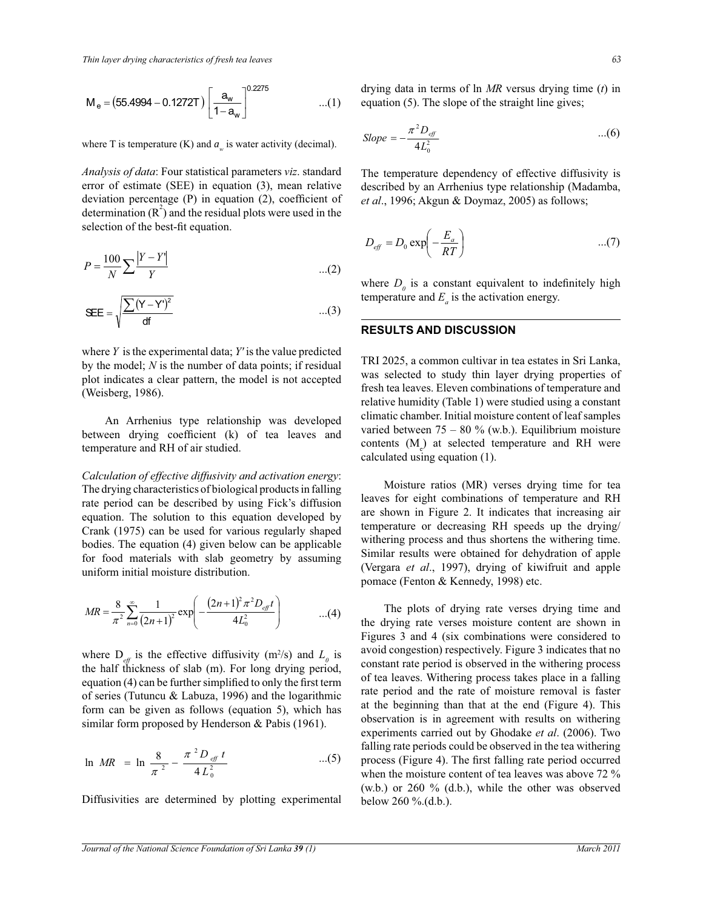$$
M_e = (55.4994 - 0.1272T) \left[ \frac{a_w}{1 - a_w} \right]^{0.2275}
$$
...(1)

where T is temperature (K) and  $a_w$  is water activity (decimal).

*Analysis of data*: Four statistical parameters *viz*. standard error of estimate (SEE) in equation (3), mean relative deviation percentage (P) in equation (2), coefficient of determination  $(R^2)$  and the residual plots were used in the selection of the best-fit equation.

$$
P = \frac{100}{N} \sum \frac{|Y - Y|}{Y}
$$
...(2)

$$
SEE = \sqrt{\frac{\sum (Y - Y')^2}{df}} \qquad \qquad \dots (3)
$$

where *Y* is the experimental data; *Y'* is the value predicted by the model; *N* is the number of data points; if residual plot indicates a clear pattern, the model is not accepted (Weisberg, 1986).

 An Arrhenius type relationship was developed between drying coefficient (k) of tea leaves and temperature and RH of air studied.

*Calculation of effective diffusivity and activation energy*: The drying characteristics of biological products in falling rate period can be described by using Fick's diffusion equation. The solution to this equation developed by Crank (1975) can be used for various regularly shaped bodies. The equation (4) given below can be applicable for food materials with slab geometry by assuming uniform initial moisture distribution.

$$
MR = \frac{8}{\pi^2} \sum_{n=0}^{\infty} \frac{1}{(2n+1)^2} \exp\left(-\frac{(2n+1)^2 \pi^2 D_{\text{eff}}t}{4L_0^2}\right) \tag{4}
$$

where  $D_{\text{eff}}$  is the effective diffusivity (m<sup>2</sup>/s) and  $L_0$  is the half thickness of slab (m). For long drying period, equation (4) can be further simplified to only the first term of series (Tutuncu & Labuza, 1996) and the logarithmic form can be given as follows (equation 5), which has similar form proposed by Henderson & Pabis (1961).

$$
\ln MR = \ln \frac{8}{\pi^2} - \frac{\pi^2 D_{\text{eff}} t}{4 L_0^2} \qquad \qquad ...(5)
$$

Diffusivities are determined by plotting experimental

drying data in terms of ln *MR* versus drying time (*t*) in equation (5). The slope of the straight line gives;

$$
Slope = -\frac{\pi^2 D_{\text{eff}}}{4L_0^2} \qquad ...(6)
$$

The temperature dependency of effective diffusivity is described by an Arrhenius type relationship (Madamba, *et al*., 1996; Akgun & Doymaz, 2005) as follows;

$$
D_{\text{eff}} = D_0 \exp\left(-\frac{E_a}{RT}\right) \qquad \qquad \dots (7)
$$

where  $D_0$  is a constant equivalent to indefinitely high temperature and  $E_a$  is the activation energy.

#### **RESULTS AND DISCUSSION**

TRI 2025, a common cultivar in tea estates in Sri Lanka, was selected to study thin layer drying properties of fresh tea leaves. Eleven combinations of temperature and relative humidity (Table 1) were studied using a constant climatic chamber. Initial moisture content of leaf samples varied between  $75 - 80$  % (w.b.). Equilibrium moisture contents  $(M_e)$  at selected temperature and RH were calculated using equation (1).

 Moisture ratios (MR) verses drying time for tea leaves for eight combinations of temperature and RH are shown in Figure 2. It indicates that increasing air temperature or decreasing RH speeds up the drying/ withering process and thus shortens the withering time. Similar results were obtained for dehydration of apple (Vergara *et al*., 1997), drying of kiwifruit and apple pomace (Fenton & Kennedy, 1998) etc.

 The plots of drying rate verses drying time and the drying rate verses moisture content are shown in Figures 3 and 4 (six combinations were considered to avoid congestion) respectively. Figure 3 indicates that no constant rate period is observed in the withering process of tea leaves. Withering process takes place in a falling rate period and the rate of moisture removal is faster at the beginning than that at the end (Figure 4). This observation is in agreement with results on withering experiments carried out by Ghodake *et al*. (2006). Two falling rate periods could be observed in the tea withering process (Figure 4). The first falling rate period occurred when the moisture content of tea leaves was above 72 % (w.b.) or 260 % (d.b.), while the other was observed below 260 %.(d.b.).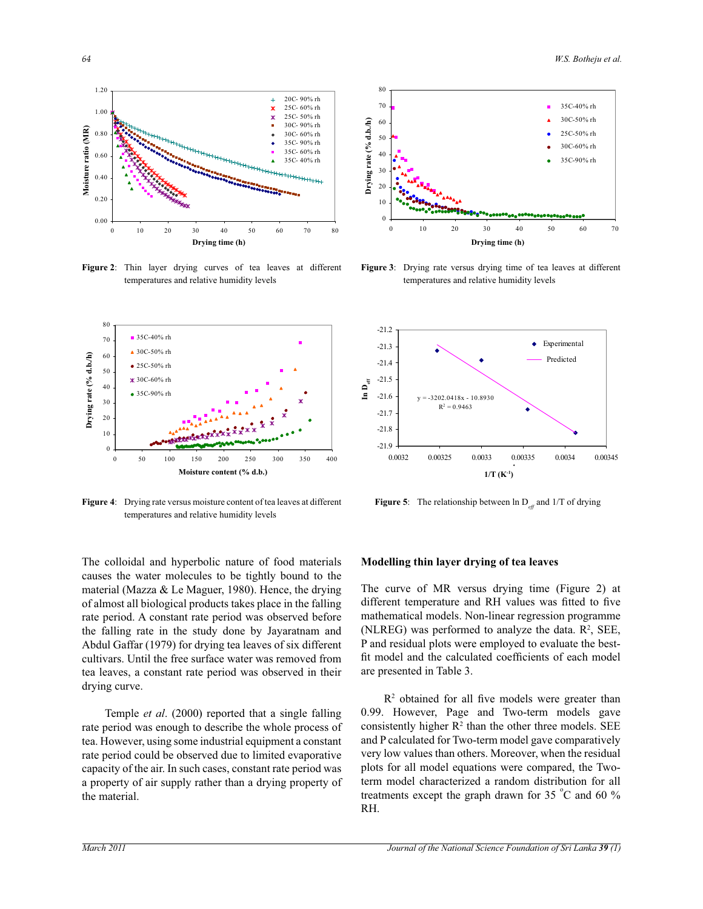1.00 1.20



**Figure 2**: Thin layer drying curves of tea leaves at different temperatures and relative humidity levels



**Figure 4**: Drying rate versus moisture content of tea leaves at different temperatures and relative humidity levels

The colloidal and hyperbolic nature of food materials causes the water molecules to be tightly bound to the material (Mazza & Le Maguer, 1980). Hence, the drying of almost all biological products takes place in the falling rate period. A constant rate period was observed before the falling rate in the study done by Jayaratnam and Abdul Gaffar (1979) for drying tea leaves of six different cultivars. Until the free surface water was removed from tea leaves, a constant rate period was observed in their drying curve.

 Temple *et al*. (2000) reported that a single falling rate period was enough to describe the whole process of tea. However, using some industrial equipment a constant rate period could be observed due to limited evaporative capacity of the air. In such cases, constant rate period was a property of air supply rather than a drying property of the material.



**Figure 3**: Drying rate versus drying time of tea leaves at different temperatures and relative humidity levels



**Figure 5:** The relationship between  $\ln D_{\text{eff}}$  and  $1/T$  of drying

#### **Modelling thin layer drying of tea leaves**

The curve of MR versus drying time (Figure 2) at different temperature and RH values was fitted to five mathematical models. Non-linear regression programme (NLREG) was performed to analyze the data.  $\mathbb{R}^2$ , SEE, P and residual plots were employed to evaluate the bestfit model and the calculated coefficients of each model are presented in Table 3.

 $R<sup>2</sup>$  obtained for all five models were greater than 0.99. However, Page and Two-term models gave consistently higher  $R^2$  than the other three models. SEE and P calculated for Two-term model gave comparatively very low values than others. Moreover, when the residual plots for all model equations were compared, the Twoterm model characterized a random distribution for all treatments except the graph drawn for 35  $^{\circ}$ C and 60 % RH.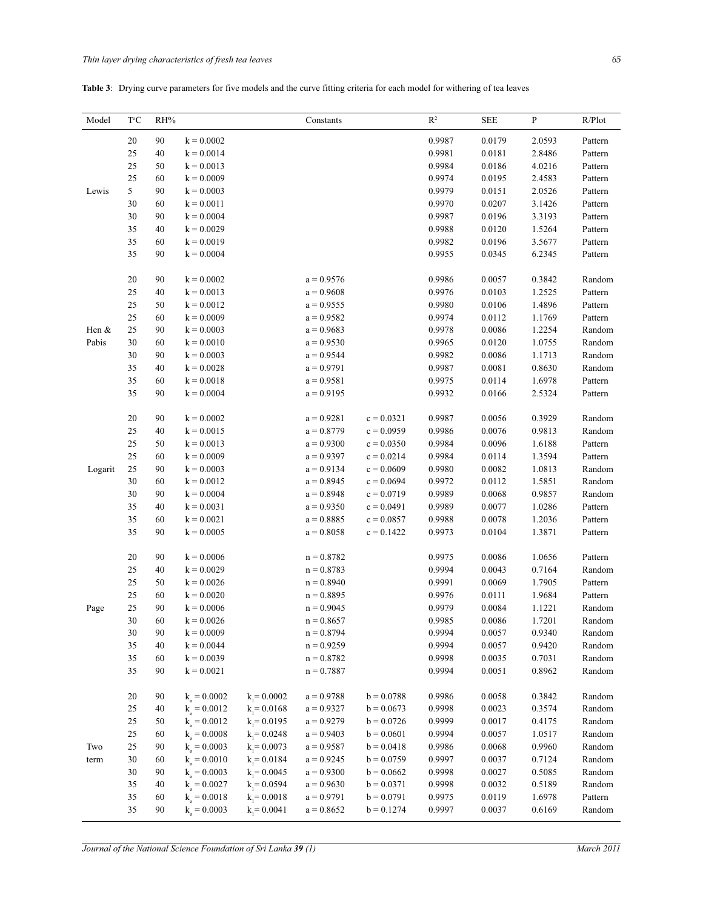# **Table 3**: Drying curve parameters for five models and the curve fitting criteria for each model for withering of tea leaves

| Model   | ТC     | RH% |                  |                | Constants    |              | $\mathbb{R}^2$ | <b>SEE</b> | P      | R/Plot  |
|---------|--------|-----|------------------|----------------|--------------|--------------|----------------|------------|--------|---------|
|         | 20     | 90  | $k = 0.0002$     |                |              |              | 0.9987         | 0.0179     | 2.0593 | Pattern |
|         | 25     | 40  | $k = 0.0014$     |                |              |              | 0.9981         | 0.0181     | 2.8486 | Pattern |
|         | 25     | 50  | $k = 0.0013$     |                |              |              | 0.9984         | 0.0186     | 4.0216 | Pattern |
|         | 25     | 60  | $k = 0.0009$     |                |              |              | 0.9974         | 0.0195     | 2.4583 | Pattern |
| Lewis   | 5      | 90  | $k = 0.0003$     |                |              |              | 0.9979         | 0.0151     | 2.0526 | Pattern |
|         | 30     | 60  | $k = 0.0011$     |                |              |              | 0.9970         | 0.0207     | 3.1426 | Pattern |
|         | 30     | 90  | $k = 0.0004$     |                |              |              | 0.9987         | 0.0196     | 3.3193 | Pattern |
|         | 35     | 40  | $k = 0.0029$     |                |              |              | 0.9988         | 0.0120     | 1.5264 | Pattern |
|         | 35     | 60  | $k = 0.0019$     |                |              |              | 0.9982         | 0.0196     | 3.5677 | Pattern |
|         | 35     | 90  | $k = 0.0004$     |                |              |              | 0.9955         | 0.0345     | 6.2345 | Pattern |
|         | 20     | 90  | $k = 0.0002$     |                | $a = 0.9576$ |              | 0.9986         | 0.0057     | 0.3842 | Random  |
|         | 25     | 40  | $k = 0.0013$     |                | $a = 0.9608$ |              | 0.9976         | 0.0103     | 1.2525 | Pattern |
|         | 25     | 50  | $k = 0.0012$     |                | $a = 0.9555$ |              | 0.9980         | 0.0106     | 1.4896 | Pattern |
|         | 25     | 60  | $k = 0.0009$     |                | $a = 0.9582$ |              | 0.9974         | 0.0112     | 1.1769 | Pattern |
| Hen &   | 25     | 90  | $k = 0.0003$     |                | $a = 0.9683$ |              | 0.9978         | 0.0086     | 1.2254 | Random  |
| Pabis   | 30     | 60  | $k = 0.0010$     |                | $a = 0.9530$ |              | 0.9965         | 0.0120     | 1.0755 | Random  |
|         | 30     | 90  | $k = 0.0003$     |                | $a = 0.9544$ |              | 0.9982         | 0.0086     | 1.1713 | Random  |
|         | 35     | 40  | $k = 0.0028$     |                | $a = 0.9791$ |              | 0.9987         | 0.0081     | 0.8630 | Random  |
|         | 35     | 60  | $k = 0.0018$     |                | $a = 0.9581$ |              | 0.9975         | 0.0114     | 1.6978 | Pattern |
|         | 35     | 90  | $k = 0.0004$     |                | $a = 0.9195$ |              | 0.9932         | 0.0166     | 2.5324 | Pattern |
|         | 20     | 90  | $k = 0.0002$     |                | $a = 0.9281$ | $c = 0.0321$ | 0.9987         | 0.0056     | 0.3929 | Random  |
|         | 25     | 40  | $k = 0.0015$     |                | $a = 0.8779$ | $c = 0.0959$ | 0.9986         | 0.0076     | 0.9813 | Random  |
|         | 25     | 50  | $k = 0.0013$     |                | $a = 0.9300$ | $c = 0.0350$ | 0.9984         | 0.0096     | 1.6188 | Pattern |
|         | 25     | 60  | $k = 0.0009$     |                | $a = 0.9397$ | $c = 0.0214$ | 0.9984         | 0.0114     | 1.3594 | Pattern |
| Logarit | 25     | 90  | $k = 0.0003$     |                | $a = 0.9134$ | $c = 0.0609$ | 0.9980         | 0.0082     | 1.0813 | Random  |
|         | 30     | 60  | $k = 0.0012$     |                | $a = 0.8945$ | $c = 0.0694$ | 0.9972         | 0.0112     | 1.5851 | Random  |
|         | 30     | 90  | $k = 0.0004$     |                | $a = 0.8948$ | $c = 0.0719$ | 0.9989         | 0.0068     | 0.9857 | Random  |
|         | 35     | 40  | $k = 0.0031$     |                | $a = 0.9350$ | $c = 0.0491$ | 0.9989         | 0.0077     | 1.0286 | Pattern |
|         | 35     | 60  | $k = 0.0021$     |                | $a = 0.8885$ | $c = 0.0857$ | 0.9988         | 0.0078     | 1.2036 | Pattern |
|         | 35     | 90  | $k = 0.0005$     |                | $a = 0.8058$ | $c = 0.1422$ | 0.9973         | 0.0104     | 1.3871 | Pattern |
|         | $20\,$ | 90  | $k = 0.0006$     |                | $n = 0.8782$ |              | 0.9975         | 0.0086     | 1.0656 | Pattern |
|         | 25     | 40  | $k = 0.0029$     |                | $n = 0.8783$ |              | 0.9994         | 0.0043     | 0.7164 | Random  |
|         | 25     | 50  | $k = 0.0026$     |                | $n = 0.8940$ |              | 0.9991         | 0.0069     | 1.7905 | Pattern |
|         | 25     | 60  | $k = 0.0020$     |                | $n = 0.8895$ |              | 0.9976         | 0.0111     | 1.9684 | Pattern |
| Page    | 25     | 90  | $k = 0.0006$     |                | $n = 0.9045$ |              | 0.9979         | 0.0084     | 1.1221 | Random  |
|         | 30     | 60  | $k = 0.0026$     |                | $n = 0.8657$ |              | 0.9985         | 0.0086     | 1.7201 | Random  |
|         | 30     | 90  | $k = 0.0009$     |                | $n = 0.8794$ |              | 0.9994         | 0.0057     | 0.9340 | Random  |
|         | 35     | 40  | $k = 0.0044$     |                | $n = 0.9259$ |              | 0.9994         | 0.0057     | 0.9420 | Random  |
|         | 35     | 60  | $k = 0.0039$     |                | $n = 0.8782$ |              | 0.9998         | 0.0035     | 0.7031 | Random  |
|         | 35     | 90  | $k = 0.0021$     |                | $n = 0.7887$ |              | 0.9994         | 0.0051     | 0.8962 | Random  |
|         | $20\,$ | 90  | $k_{0} = 0.0002$ | $k_1 = 0.0002$ | $a = 0.9788$ | $b = 0.0788$ | 0.9986         | 0.0058     | 0.3842 | Random  |
|         | 25     | 40  | $k_{0} = 0.0012$ | $k_1 = 0.0168$ | $a = 0.9327$ | $b = 0.0673$ | 0.9998         | 0.0023     | 0.3574 | Random  |
|         | 25     | 50  | $k_0 = 0.0012$   | $k_1 = 0.0195$ | $a = 0.9279$ | $b = 0.0726$ | 0.9999         | 0.0017     | 0.4175 | Random  |
|         | 25     | 60  | $k_{0} = 0.0008$ | $k_1 = 0.0248$ | $a = 0.9403$ | $b = 0.0601$ | 0.9994         | 0.0057     | 1.0517 | Random  |
| Two     | 25     | 90  | $k_{0} = 0.0003$ | $k_1 = 0.0073$ | $a = 0.9587$ | $b = 0.0418$ | 0.9986         | 0.0068     | 0.9960 | Random  |
| term    | 30     | 60  | $k_{o} = 0.0010$ | $k_1 = 0.0184$ | $a = 0.9245$ | $b = 0.0759$ | 0.9997         | 0.0037     | 0.7124 | Random  |
|         | 30     | 90  | $k_0 = 0.0003$   | $k_1 = 0.0045$ | $a = 0.9300$ | $b = 0.0662$ | 0.9998         | 0.0027     | 0.5085 | Random  |
|         | 35     | 40  | $k_0 = 0.0027$   | $k_1 = 0.0594$ | $a = 0.9630$ | $b = 0.0371$ | 0.9998         | 0.0032     | 0.5189 | Random  |
|         | 35     | 60  | $k_0 = 0.0018$   | $k_1 = 0.0018$ | $a = 0.9791$ | $b = 0.0791$ | 0.9975         | 0.0119     | 1.6978 | Pattern |
|         | 35     | 90  | $k_{o} = 0.0003$ | $k_1 = 0.0041$ | $a = 0.8652$ | $b = 0.1274$ | 0.9997         | 0.0037     | 0.6169 | Random  |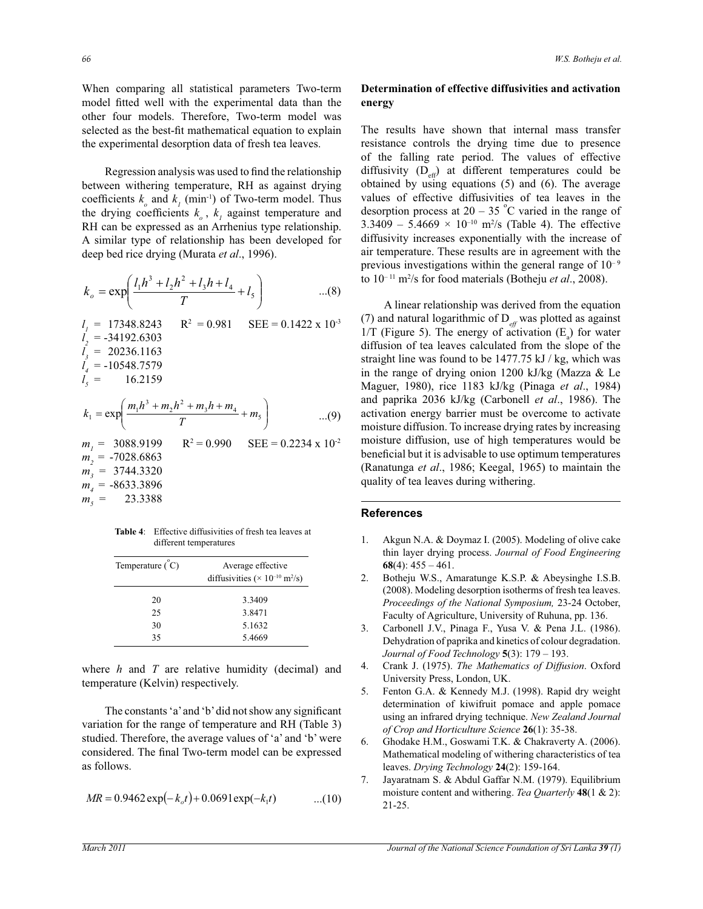When comparing all statistical parameters Two-term model fitted well with the experimental data than the other four models. Therefore, Two-term model was selected as the best-fit mathematical equation to explain the experimental desorption data of fresh tea leaves.

 Regression analysis was used to find the relationship between withering temperature, RH as against drying coefficients  $k_o$  and  $k_I$  (min<sup>-1</sup>) of Two-term model. Thus the drying coefficients  $k_o$ ,  $k_l$  against temperature and RH can be expressed as an Arrhenius type relationship. A similar type of relationship has been developed for deep bed rice drying (Murata *et al*., 1996).

$$
k_o = \exp\left(\frac{l_1 h^3 + l_2 h^2 + l_3 h + l_4}{T} + l_5\right) \qquad \dots(8)
$$
  
\n
$$
l_1 = 17348.8243 \qquad R^2 = 0.981 \qquad \text{SEE} = 0.1422 \times 10^{3}
$$
  
\n
$$
l_2 = -34192.6303
$$
  
\n
$$
l_3 = 20236.1163
$$
  
\n
$$
l_4 = -10548.7579
$$
  
\n
$$
l_5 = 16.2159
$$
  
\n
$$
k_1 = \exp\left(\frac{m_1 h^3 + m_2 h^2 + m_3 h + m_4}{T} + m_5\right) \qquad \dots(9)
$$
  
\n
$$
m_1 = 3088.9199 \qquad R^2 = 0.990 \qquad \text{SEE} = 0.2234 \times 10^{-2}
$$

$$
m_1 = 3088.9199 \qquad R^2 = 0.990 \qquad \text{SEE} = 0.2234 \times 11
$$
  
\n
$$
m_2 = -7028.6863
$$
  
\n
$$
m_3 = 3744.3320
$$
  
\n
$$
m_4 = -8633.3896
$$
  
\n
$$
m_5 = 23.3388
$$

**Table 4**: Effective diffusivities of fresh tea leaves at different temperatures

| Temperature $(\degree C)$ | Average effective<br>diffusivities ( $\times$ 10 <sup>-10</sup> m <sup>2</sup> /s) |
|---------------------------|------------------------------------------------------------------------------------|
| 20                        | 3.3409                                                                             |
| 25                        | 3.8471                                                                             |
| 30                        | 5.1632                                                                             |
| 35                        | 5.4669                                                                             |

where *h* and *T* are relative humidity (decimal) and temperature (Kelvin) respectively.

 The constants 'a' and 'b' did not show any significant variation for the range of temperature and RH (Table 3) studied. Therefore, the average values of 'a' and 'b' were considered. The final Two-term model can be expressed as follows.

$$
MR = 0.9462 \exp(-k_c t) + 0.0691 \exp(-k_1 t) \qquad \qquad ...(10)
$$

# **Determination of effective diffusivities and activation energy**

The results have shown that internal mass transfer resistance controls the drying time due to presence of the falling rate period. The values of effective diffusivity  $(D_{\text{eff}})$  at different temperatures could be obtained by using equations (5) and (6). The average values of effective diffusivities of tea leaves in the desorption process at  $20 - 35$  °C varied in the range of  $3.3409 - 5.4669 \times 10^{-10}$  m<sup>2</sup>/s (Table 4). The effective diffusivity increases exponentially with the increase of air temperature. These results are in agreement with the previous investigations within the general range of  $10^{-9}$ to 10– 11 m<sup>2</sup> /s for food materials (Botheju *et al*., 2008).

 A linear relationship was derived from the equation (7) and natural logarithmic of  $D_{\text{eff}}$  was plotted as against  $1/T$  (Figure 5). The energy of activation  $(E_a)$  for water diffusion of tea leaves calculated from the slope of the straight line was found to be 1477.75 kJ / kg, which was in the range of drying onion 1200 kJ/kg (Mazza & Le Maguer, 1980), rice 1183 kJ/kg (Pinaga *et al*., 1984) and paprika 2036 kJ/kg (Carbonell *et al*., 1986). The activation energy barrier must be overcome to activate moisture diffusion. To increase drying rates by increasing moisture diffusion, use of high temperatures would be beneficial but it is advisable to use optimum temperatures (Ranatunga *et al*., 1986; Keegal, 1965) to maintain the quality of tea leaves during withering.

#### **References**

- 1. Akgun N.A. & Doymaz I. (2005). Modeling of olive cake thin layer drying process. *Journal of Food Engineering* **68**(4): 455 – 461.
- 2. Botheju W.S., Amaratunge K.S.P. & Abeysinghe I.S.B. (2008). Modeling desorption isotherms of fresh tea leaves. *Proceedings of the National Symposium,* 23-24 October, Faculty of Agriculture, University of Ruhuna, pp. 136.
- 3. Carbonell J.V., Pinaga F., Yusa V. & Pena J.L. (1986). Dehydration of paprika and kinetics of colour degradation. *Journal of Food Technology* **5**(3): 179 – 193.
- 4. Crank J. (1975). *The Mathematics of Diffusion*. Oxford University Press, London, UK.
- 5. Fenton G.A. & Kennedy M.J. (1998). Rapid dry weight determination of kiwifruit pomace and apple pomace using an infrared drying technique. *New Zealand Journal of Crop and Horticulture Science* **26**(1): 35-38.
- 6. Ghodake H.M., Goswami T.K. & Chakraverty A. (2006). Mathematical modeling of withering characteristics of tea leaves. *Drying Technology* **24**(2): 159-164.
- 7. Jayaratnam S. & Abdul Gaffar N.M. (1979). Equilibrium moisture content and withering. *Tea Quarterly* **48**(1 & 2): 21-25.